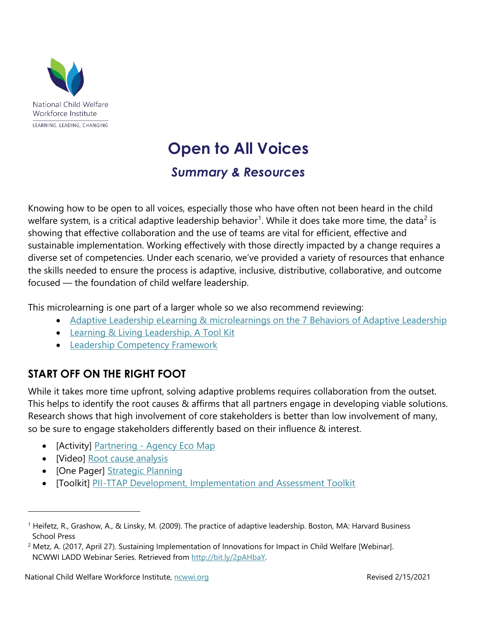

# **Open to All Voices**  *Summary & Resources*

 diverse set of competencies. Under each scenario, we've provided a variety of resources that enhance the skills needed to ensure the process is adaptive, inclusive, distributive, collaborative, and outcome Knowing how to be open to all voices, especially those who have often not been heard in the child welfare system, is a critical adaptive leadership behavior<sup>[1](#page-0-0)</sup>. While it does take more time, the data<sup>2</sup> is showing that effective collaboration and the use of teams are vital for efficient, effective and sustainable implementation. Working effectively with those directly impacted by a change requires a focused — the foundation of child welfare leadership.

This microlearning is one part of a larger whole so we also recommend reviewing:

- Adaptive Leadership eLearning & microlearnings on the 7 Behaviors of Adaptive Leadership
- **Learning & Living Leadership, A Tool Kit**
- [Leadership Competency Framework](https://ncwwi.org/index.php/leadershipcompetencyframework)

# **START OFF ON THE RIGHT FOOT**

While it takes more time upfront, solving adaptive problems requires collaboration from the outset. This helps to identify the root causes & affirms that all partners engage in developing viable solutions. Research shows that high involvement of core stakeholders is better than low involvement of many, so be sure to engage stakeholders differently based on their influence & interest.

- [Activity] Partnering [Agency Eco Map](http://bit.ly/2h6u0dO)
- [Video] Root cause analysis

 $\overline{a}$ 

- [One Pager] **Strategic Planning**
- [Toolkit] [PII-TTAP Development, Implementation and Assessment Toolkit](https://learn.childwelfare.gov/)

<span id="page-0-0"></span><sup>1</sup> Heifetz, R., Grashow, A., & Linsky, M. (2009). The practice of adaptive leadership. Boston, MA: Harvard Business School Press

<span id="page-0-1"></span><sup>&</sup>lt;sup>2</sup> Metz, A. (2017, April 27). Sustaining Implementation of Innovations for Impact in Child Welfare [Webinar]. NCWWI LADD Webinar Series. Retrieved from [http://bit.ly/2pAHbaY.](http://bit.ly/2pAHbaY)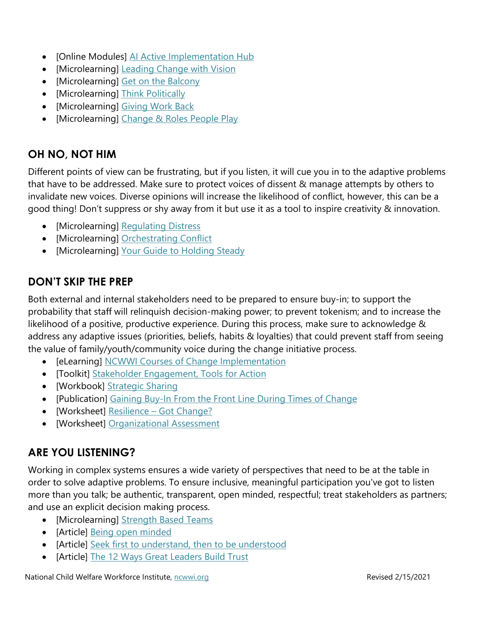- [Online Modules] [AI Active Implementation Hub](http://unc.live/2nC4b9T)
- [Microlearning] [Leading Change with Vision](http://courses.ncwwi.org/course/view.php?id=45)
- [Microlearning] [Get on the Balcony](http://courses.ncwwi.org/course/view.php?id=46)
- [Microlearning] Think Politically
- [Microlearning] Giving Work Back
- [Microlearning] Change & Roles People Play

## **OH NO, NOT HIM**

Different points of view can be frustrating, but if you listen, it will cue you in to the adaptive problems that have to be addressed. Make sure to protect voices of dissent & manage attempts by others to invalidate new voices. Diverse opinions will increase the likelihood of conflict, however, this can be a good thing! Don't suppress or shy away from it but use it as a tool to inspire creativity & innovation.

- [Microlearning] Regulating Distress
- [Microlearning] [Orchestrating Conflict](http://courses.ncwwi.org/course/view.php?id=56)
- [Microlearning] Your Guide to Holding Steady

### **DON'T SKIP THE PREP**

Both external and internal stakeholders need to be prepared to ensure buy-in; to support the probability that staff will relinquish decision-making power; to prevent tokenism; and to increase the likelihood of a positive, productive experience. During this process, make sure to acknowledge & address any adaptive issues (priorities, beliefs, habits & loyalties) that could prevent staff from seeing the value of family/youth/community voice during the change initiative process.

- [eLearning] [NCWWI Courses of Change Implementation](http://courses.ncwwi.org/course/index.php?categoryid=19)
- [Toolkit] [Stakeholder Engagement, Tools for Action](http://bit.ly/2pmxLwK)
- [\[Workbook\] Strategic Sharing](http://bit.ly/2o0iRMl)
- [Publication] [Gaining Buy-In From the Front Line During Times of Change](http://bit.ly/2g5AbN6)
- [Worksheet] Resilience Got Change?
- [\[Worksheet\] Organizational Assessment](http://bit.ly/1r5vwhd)

### **ARE YOU LISTENING?**

Working in complex systems ensures a wide variety of perspectives that need to be at the table in order to solve adaptive problems. To ensure inclusive, meaningful participation you've got to listen more than you talk; be authentic, transparent, open minded, respectful; treat stakeholders as partners; and use an explicit decision making process.

- [Microlearning] Strength Based Teams
- [Article] [Being open minded](http://bit.ly/2o7okDC)
- [Article] [Seek first to understand, then to be understood](http://bit.ly/2oS4Owr)
- [Article] [The 12 Ways Great Leaders Build Trust](http://bit.ly/2prADZ8)